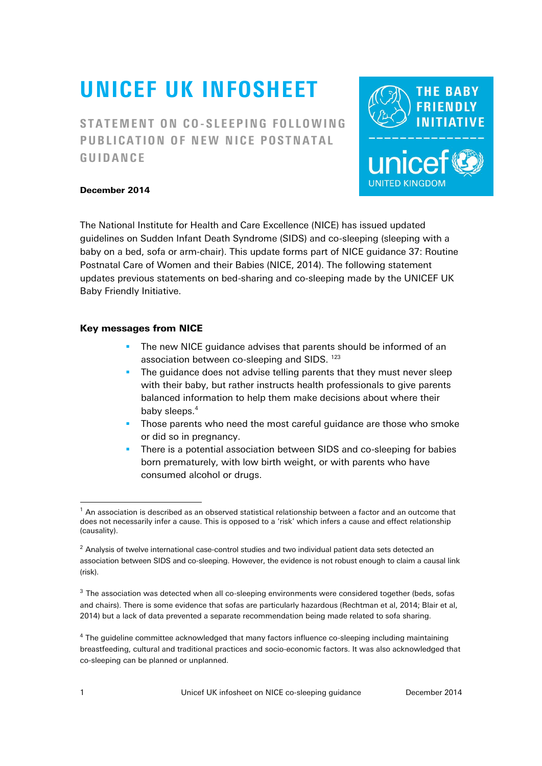# UNICEF UK INFOSHEET

STATEMENT ON CO-SLEEPING FOLLOWING PUBLICATION OF NEW NICE POSTNATAL GUIDANCE



## December 2014

The National Institute for Health and Care Excellence (NICE) has issued updated guidelines on Sudden Infant Death Syndrome (SIDS) and co-sleeping (sleeping with a baby on a bed, sofa or arm-chair). This update forms part of NICE guidance 37: Routine Postnatal Care of Women and their Babies (NICE, 2014). The following statement updates previous statements on bed-sharing and co-sleeping made by the UNICEF UK Baby Friendly Initiative.

## Key messages from NICE

- **The new NICE quidance advises that parents should be informed of an** association between co-sleeping and SIDS.<sup>123</sup>
- **The guidance does not advise telling parents that they must never sleep** with their baby, but rather instructs health professionals to give parents balanced information to help them make decisions about where their baby sleeps.<sup>4</sup>
- **Those parents who need the most careful quidance are those who smoke** or did so in pregnancy.
- There is a potential association between SIDS and co-sleeping for babies born prematurely, with low birth weight, or with parents who have consumed alcohol or drugs.

 $\overline{a}$ 

 $1$  An association is described as an observed statistical relationship between a factor and an outcome that does not necessarily infer a cause. This is opposed to a 'risk' which infers a cause and efect relationship (causality).

 $2$  Analysis of twelve international case-control studies and two individual patient data sets detected an association between SIDS and co-sleeping. However, the evidence is not robust enough to claim a causal link (risk).

<sup>&</sup>lt;sup>3</sup> The association was detected when all co-sleeping environments were considered together (beds, sofas and chairs). There is some evidence that sofas are particularly hazardous (Rechtman et al, 2014; Blair et al, 2014) but a lack of data prevented a separate recommendation being made related to sofa sharing.

<sup>&</sup>lt;sup>4</sup> The guideline committee acknowledged that many factors influence co-sleeping including maintaining breastfeeding, cultural and traditional practices and socio-economic factors. It was also acknowledged that co-sleeping can be planned or unplanned.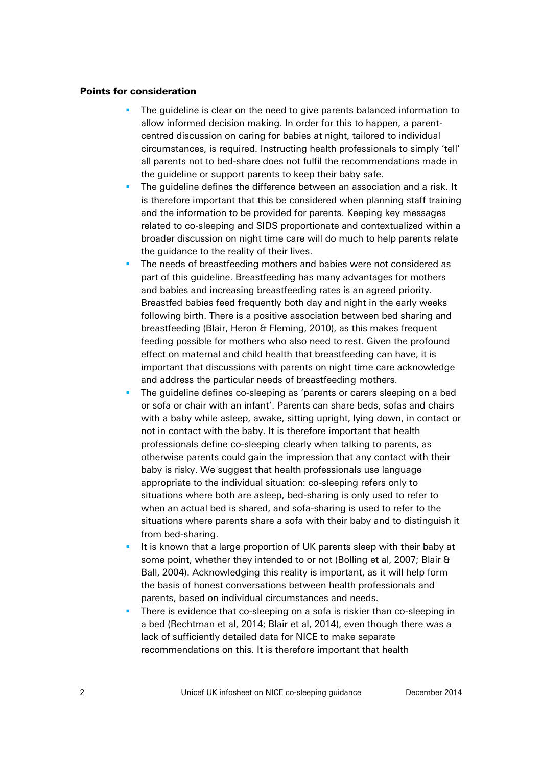#### Points for consideration

- The guideline is clear on the need to give parents balanced information to allow informed decision making. In order for this to happen, a parentcentred discussion on caring for babies at night, tailored to individual circumstances, is required. Instructing health professionals to simply 'tell' all parents not to bed-share does not fulfil the recommendations made in the guideline or support parents to keep their baby safe.
- The guideline defines the difference between an association and a risk. It is therefore important that this be considered when planning staff training and the information to be provided for parents. Keeping key messages related to co-sleeping and SIDS proportionate and contextualized within a broader discussion on night time care will do much to help parents relate the guidance to the reality of their lives.
- The needs of breastfeeding mothers and babies were not considered as part of this guideline. Breastfeeding has many advantages for mothers and babies and increasing breastfeeding rates is an agreed priority. Breastfed babies feed frequently both day and night in the early weeks following birth. There is a positive association between bed sharing and breastfeeding (Blair, Heron & Fleming, 2010), as this makes frequent feeding possible for mothers who also need to rest. Given the profound effect on maternal and child health that breastfeeding can have, it is important that discussions with parents on night time care acknowledge and address the particular needs of breastfeeding mothers.
- The guideline defines co-sleeping as 'parents or carers sleeping on a bed or sofa or chair with an infant'. Parents can share beds, sofas and chairs with a baby while asleep, awake, sitting upright, lying down, in contact or not in contact with the baby. It is therefore important that health professionals define co-sleeping clearly when talking to parents, as otherwise parents could gain the impression that any contact with their baby is risky. We suggest that health professionals use language appropriate to the individual situation: co-sleeping refers only to situations where both are asleep, bed-sharing is only used to refer to when an actual bed is shared, and sofa-sharing is used to refer to the situations where parents share a sofa with their baby and to distinguish it from bed-sharing.
- It is known that a large proportion of UK parents sleep with their baby at some point, whether they intended to or not (Bolling et al, 2007; Blair & Ball, 2004). Acknowledging this reality is important, as it will help form the basis of honest conversations between health professionals and parents, based on individual circumstances and needs.
- There is evidence that co-sleeping on a sofa is riskier than co-sleeping in a bed (Rechtman et al, 2014; Blair et al, 2014), even though there was a lack of sufficiently detailed data for NICE to make separate recommendations on this. It is therefore important that health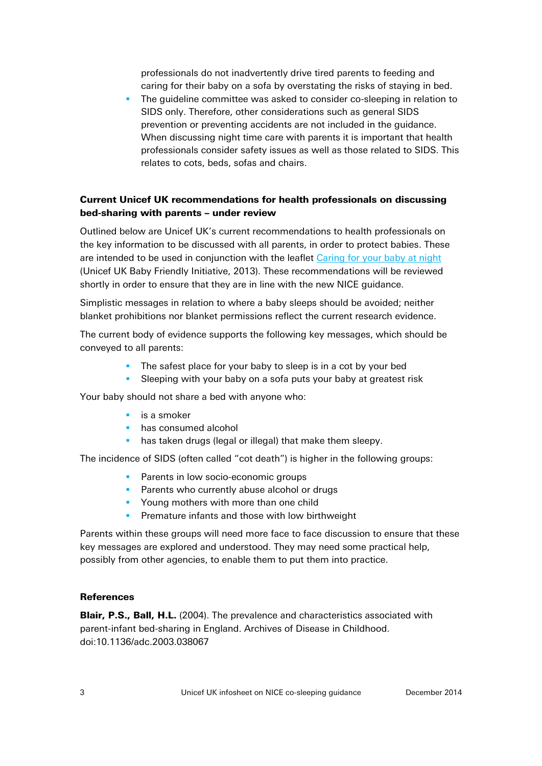professionals do not inadvertently drive tired parents to feeding and caring for their baby on a sofa by overstating the risks of staying in bed.

 The guideline committee was asked to consider co-sleeping in relation to SIDS only. Therefore, other considerations such as general SIDS prevention or preventing accidents are not included in the guidance. When discussing night time care with parents it is important that health professionals consider safety issues as well as those related to SIDS. This relates to cots, beds, sofas and chairs.

# Current Unicef UK recommendations for health professionals on discussing bed-sharing with parents – under review

Outlined below are Unicef UK's current recommendations to health professionals on the key information to be discussed with all parents, in order to protect babies. These are intended to be used in conjunction with the leafet [Caring for your baby at night](http://www.unicef.org.uk/BabyFriendly/Resources/Resources-for-parents/Caring-for-your-baby-at-night/) (Unicef UK Baby Friendly Initiative, 2013). These recommendations will be reviewed shortly in order to ensure that they are in line with the new NICE guidance.

Simplistic messages in relation to where a baby sleeps should be avoided; neither blanket prohibitions nor blanket permissions refect the current research evidence.

The current body of evidence supports the following key messages, which should be conveyed to all parents:

- The safest place for your baby to sleep is in a cot by your bed
- **Sleeping with your baby on a sofa puts your baby at greatest risk**

Your baby should not share a bed with anyone who:

- $\overline{\phantom{a}}$  is a smoker
- **has consumed alcohol**
- **has taken drugs (legal or illegal) that make them sleepy.**

The incidence of SIDS (often called "cot death") is higher in the following groups:

- **Parents in low socio-economic groups**
- **Parents who currently abuse alcohol or drugs**
- **Young mothers with more than one child**
- **Premature infants and those with low birthweight**

Parents within these groups will need more face to face discussion to ensure that these key messages are explored and understood. They may need some practical help, possibly from other agencies, to enable them to put them into practice.

#### **References**

Blair, P.S., Ball, H.L. (2004). The prevalence and characteristics associated with parent-infant bed-sharing in England. Archives of Disease in Childhood. doi:10.1136/adc.2003.038067